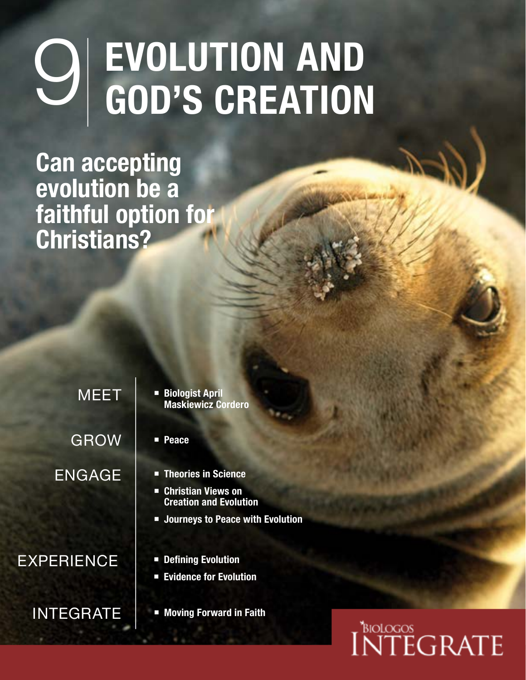# $\bigcirc$  EVOLUTION AND<br>GOD'S CREATION

**Can accepting evolution be a faithful option for Christians?**

> GROW ENGAGE

#### EXPERIENCE | **·** Defining Evolution

- MEET **Biologist April Maskiewicz Cordero**
	- **Peace**
	- **Theories in Science**
	- **Christian Views on Creation and Evolution**
	- **Journeys to Peace with Evolution**
	-
	- **Evidence for Evolution**
- **INTEGRATE EXPLOSIVE FOR FAIT PROPERTY**

## **NTEGRATE**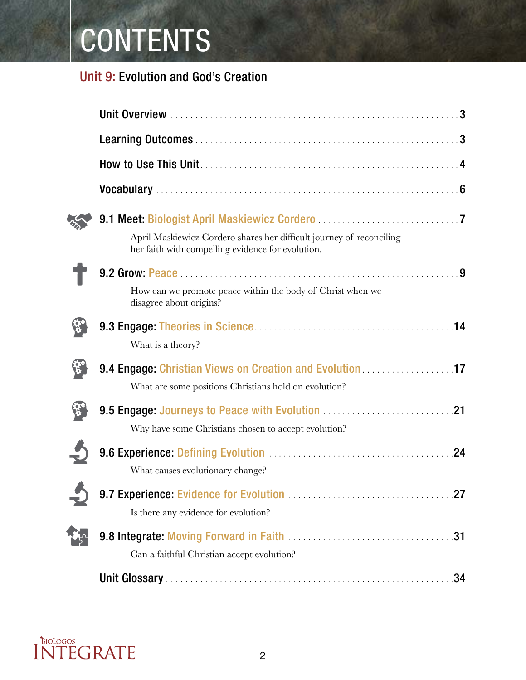## CONTENTS

#### Unit 9: Evolution and God's Creation

| April Maskiewicz Cordero shares her difficult journey of reconciling<br>her faith with compelling evidence for evolution. |
|---------------------------------------------------------------------------------------------------------------------------|
|                                                                                                                           |
| How can we promote peace within the body of Christ when we<br>disagree about origins?                                     |
|                                                                                                                           |
| What is a theory?                                                                                                         |
| 9.4 Engage: Christian Views on Creation and Evolution 17                                                                  |
| What are some positions Christians hold on evolution?                                                                     |
|                                                                                                                           |
| Why have some Christians chosen to accept evolution?                                                                      |
| 9.6 Experience: Defining Evolution Material Account 24                                                                    |
| What causes evolutionary change?                                                                                          |
|                                                                                                                           |
| Is there any evidence for evolution?                                                                                      |
|                                                                                                                           |
| Can a faithful Christian accept evolution?                                                                                |
|                                                                                                                           |

## INTEGRATE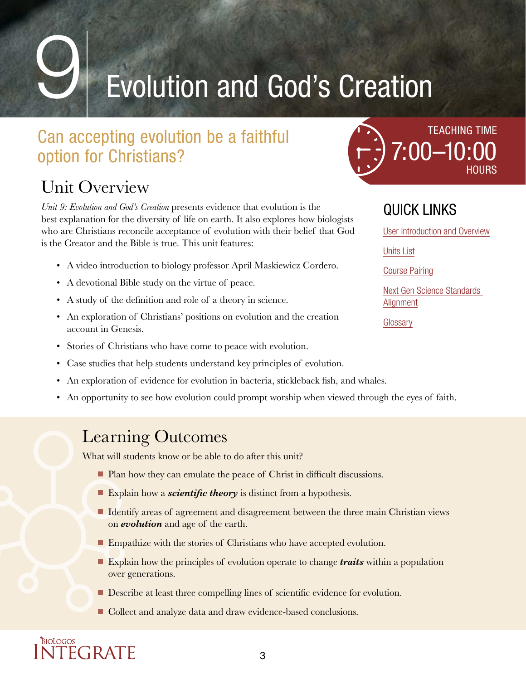## **Evolution and God's Creation**

### Can accepting evolution be a faithful option for Christians?

### <span id="page-2-0"></span>Unit Overview

INTEGRATE

*Unit 9: Evolution and God's Creation* presents evidence that evolution is the best explanation for the diversity of life on earth. It also explores how biologists who are Christians reconcile acceptance of evolution with their belief that God is the Creator and the Bible is true. This unit features:

- A video introduction to biology professor April Maskiewicz Cordero.
- A devotional Bible study on the virtue of peace.
- A study of the definition and role of a theory in science.
- An exploration of Christians' positions on evolution and the creation account in Genesis.
- Stories of Christians who have come to peace with evolution.
- Case studies that help students understand key principles of evolution.
- An exploration of evidence for evolution in bacteria, stickleback fish, and whales.
- An opportunity to see how evolution could prompt worship when viewed through the eyes of faith.

#### <span id="page-2-1"></span>Learning Outcomes

What will students know or be able to do after this unit?

- Plan how they can emulate the peace of Christ in difficult discussions.
- Explain how a *scientific theory* is distinct from a hypothesis.
- I Identify areas of agreement and disagreement between the three main Christian views on *evolution* and age of the earth.
- **Empathize with the stories of Christians who have accepted evolution.**
- **Explain how the principles of evolution operate to change** *traits* **within a population** over generations.
- Describe at least three compelling lines of scientific evidence for evolution.

3

■ Collect and analyze data and draw evidence-based conclusions.



#### QUICK LINKS

[User Introduction and Overview](https://biologos.link/user-intro)

[Units List](https://biologos.link/units-list)

[Course Pairing](https://biologos.link/course-pairing)

[Next Gen Science Standards](https://biologos.link/ngss-alignment)  [Alignment](https://biologos.link/ngss-alignment)

**[Glossary](https://biologos.link/glossary)**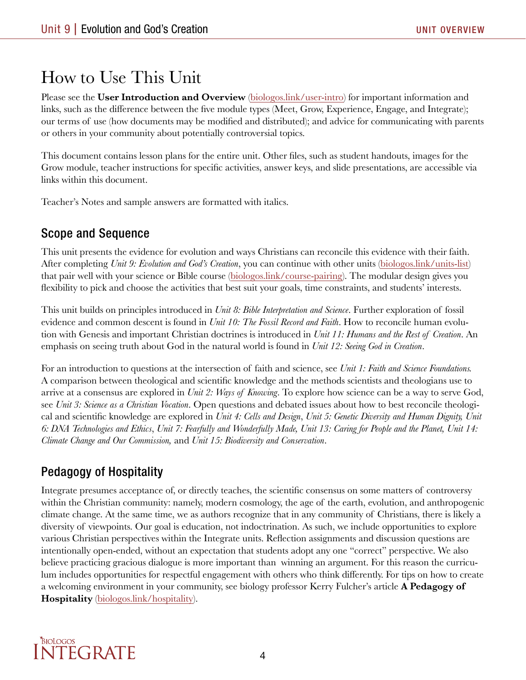### <span id="page-3-0"></span>How to Use This Unit

Please see the **User Introduction and Overview** ([biologos.link/user-intro\)](https://biologos.link/user-intro) for important information and links, such as the difference between the five module types (Meet, Grow, Experience, Engage, and Integrate); our terms of use (how documents may be modified and distributed); and advice for communicating with parents or others in your community about potentially controversial topics.

This document contains lesson plans for the entire unit. Other files, such as student handouts, images for the Grow module, teacher instructions for specific activities, answer keys, and slide presentations, are accessible via links within this document.

Teacher's Notes and sample answers are formatted with italics.

#### Scope and Sequence

This unit presents the evidence for evolution and ways Christians can reconcile this evidence with their faith. After completing *Unit 9: Evolution and God's Creation*, you can continue with other units [\(biologos.link/units-list](https://biologos.link/units-list)) that pair well with your science or Bible course ([biologos.link/course-pairing\)](https://biologos.link/course-pairing). The modular design gives you flexibility to pick and choose the activities that best suit your goals, time constraints, and students' interests.

This unit builds on principles introduced in *Unit 8: Bible Interpretation and Science*. Further exploration of fossil evidence and common descent is found in *Unit 10: The Fossil Record and Faith*. How to reconcile human evolution with Genesis and important Christian doctrines is introduced in *Unit 11: Humans and the Rest of Creation*. An emphasis on seeing truth about God in the natural world is found in *Unit 12: Seeing God in Creation*.

For an introduction to questions at the intersection of faith and science, see *Unit 1: Faith and Science Foundations.*  A comparison between theological and scientific knowledge and the methods scientists and theologians use to arrive at a consensus are explored in *Unit 2: Ways of Knowing*. To explore how science can be a way to serve God, see *Unit 3: Science as a Christian Vocation*. Open questions and debated issues about how to best reconcile theological and scientific knowledge are explored in *Unit 4: Cells and Design*, *Unit 5: Genetic Diversity and Human Dignity, Unit 6: DNA Technologies and Ethics*, *Unit 7: Fearfully and Wonderfully Made, Unit 13: Caring for People and the Planet, Unit 14: Climate Change and Our Commission,* and *Unit 15: Biodiversity and Conservation*.

#### Pedagogy of Hospitality

Integrate presumes acceptance of, or directly teaches, the scientific consensus on some matters of controversy within the Christian community: namely, modern cosmology, the age of the earth, evolution, and anthropogenic climate change. At the same time, we as authors recognize that in any community of Christians, there is likely a diversity of viewpoints. Our goal is education, not indoctrination. As such, we include opportunities to explore various Christian perspectives within the Integrate units. Reflection assignments and discussion questions are intentionally open-ended, without an expectation that students adopt any one "correct" perspective. We also believe practicing gracious dialogue is more important than winning an argument. For this reason the curriculum includes opportunities for respectful engagement with others who think differently. For tips on how to create a welcoming environment in your community, see biology professor Kerry Fulcher's article **A Pedagogy of Hospitality** ([biologos.link/hospitality\)](http://biologos.link/hospitality).

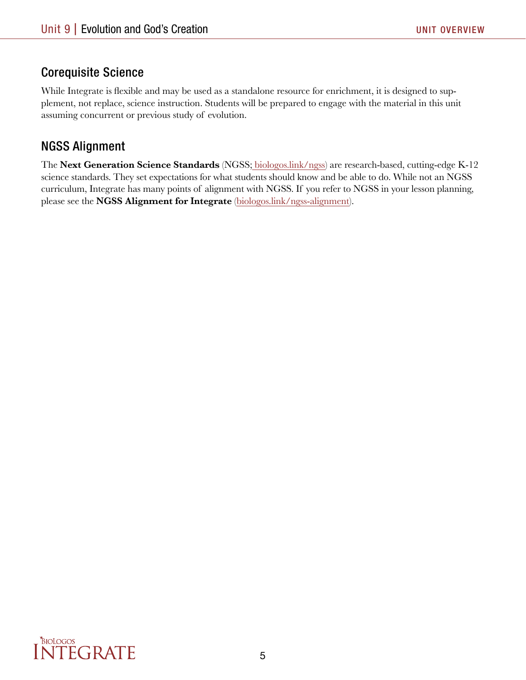#### Corequisite Science

While Integrate is flexible and may be used as a standalone resource for enrichment, it is designed to supplement, not replace, science instruction. Students will be prepared to engage with the material in this unit assuming concurrent or previous study of evolution.

#### NGSS Alignment

The **Next Generation Science Standards** (NGSS; [biologos.link/ngss](http://biologos.link/ngss)) are research-based, cutting-edge K-12 science standards. They set expectations for what students should know and be able to do. While not an NGSS curriculum, Integrate has many points of alignment with NGSS. If you refer to NGSS in your lesson planning, please see the **NGSS Alignment for Integrate** ([biologos.link/ngss-alignment\)](https://biologos.link/ngss-alignment).

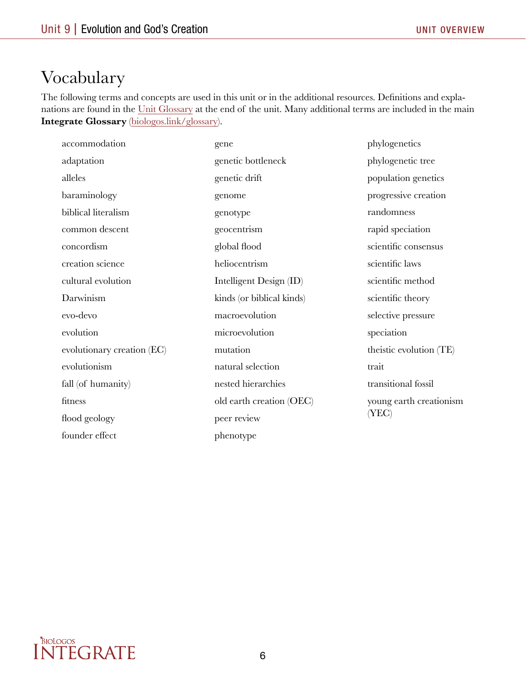#### <span id="page-5-0"></span>Vocabulary

The following terms and concepts are used in this unit or in the additional resources. Definitions and explanations are found in the Unit Glossary at the end of the unit. Many additional terms are included in the main **Integrate Glossary** ([biologos.link/glossary](https://biologos.link/glossary)).

| accommodation              | gene                      | phylogenetics                   |
|----------------------------|---------------------------|---------------------------------|
| adaptation                 | genetic bottleneck        | phylogenetic tree               |
| alleles                    | genetic drift             | population genetics             |
| baraminology               | genome                    | progressive creation            |
| biblical literalism        | genotype                  | randomness                      |
| common descent             | geocentrism               | rapid speciation                |
| concordism                 | global flood              | scientific consensus            |
| creation science           | heliocentrism             | scientific laws                 |
| cultural evolution         | Intelligent Design (ID)   | scientific method               |
| Darwinism                  | kinds (or biblical kinds) | scientific theory               |
| evo-devo                   | macroevolution            | selective pressure              |
| evolution                  | microevolution            | speciation                      |
| evolutionary creation (EC) | mutation                  | theistic evolution (TE)         |
| evolutionism               | natural selection         | trait                           |
| fall (of humanity)         | nested hierarchies        | transitional fossil             |
| fitness                    | old earth creation (OEC)  | young earth creationism<br>YEC) |
| flood geology              | peer review               |                                 |
| founder effect             | phenotype                 |                                 |